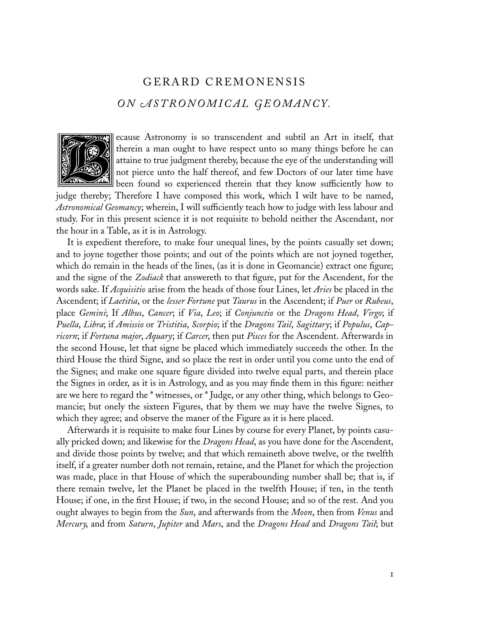# GERARD CREMONENSIS *O N ASTRONOMICAL G EOMANCY.*



ecause Astronomy is so transcendent and subtil an Art in itself, that therein a man ought to have respect unto so many things before he can attaine to true judgment thereby, because the eye of the understanding will not pierce unto the half thereof, and few Doctors of our later time have been found so experienced therein that they know sufficiently how to

judge thereby; Therefore I have composed this work, which I wilt have to be named, *Astronomical Geomancy*; wherein, I will sufficiently teach how to judge with less labour and study. For in this present science it is not requisite to behold neither the Ascendant, nor the hour in a Table, as it is in Astrology.

It is expedient therefore, to make four unequal lines, by the points casually set down; and to joyne together those points; and out of the points which are not joyned together, which do remain in the heads of the lines, (as it is done in Geomancie) extract one figure; and the signe of the *Zodiack* that answereth to that figure, put for the Ascendent, for the words sake. If *Acquisitio* arise from the heads of those four Lines, let *Aries* be placed in the Ascendent; if *Laetitia*, or the *lesser Fortune* put *Taurus* in the Ascendent; if *Puer* or *Rubeus*, place *Gemini*; If *Albus*, *Cancer*; if *Via*, *Leo*; if *Conjunctio* or the *Dragons Head*, *Virgo*; if *Puella*, *Libra*; if *Amissio* or *Tristitia*, *Scorpio*; if the *Dragons Tail*, *Sagittary*; if *Populus*, *Capricorn*; if *Fortuna major*, *Aquary*; if *Carcer*, then put *Pisces* for the Ascendent. Afterwards in the second House, let that signe be placed which immediately succeeds the other. In the third House the third Signe, and so place the rest in order until you come unto the end of the Signes; and make one square figure divided into twelve equal parts, and therein place the Signes in order, as it is in Astrology, and as you may finde them in this figure: neither are we here to regard the \* witnesses, or \* Judge, or any other thing, which belongs to Geomancie; but onely the sixteen Figures, that by them we may have the twelve Signes, to which they agree; and observe the maner of the Figure as it is here placed.

Afterwards it is requisite to make four Lines by course for every Planet, by points casually pricked down; and likewise for the *Dragons Head*, as you have done for the Ascendent, and divide those points by twelve; and that which remaineth above twelve, or the twelfth itself, if a greater number doth not remain, retaine, and the Planet for which the projection was made, place in that House of which the superabounding number shall be; that is, if there remain twelve, let the Planet be placed in the twelfth House; if ten, in the tenth House; if one, in the first House; if two, in the second House; and so of the rest. And you ought alwayes to begin from the *Sun*, and afterwards from the *Moon*, then from *Venus* and *Mercury*, and from *Saturn*, *Jupiter* and *Mars*, and the *Dragons Head* and *Dragons Tail*; but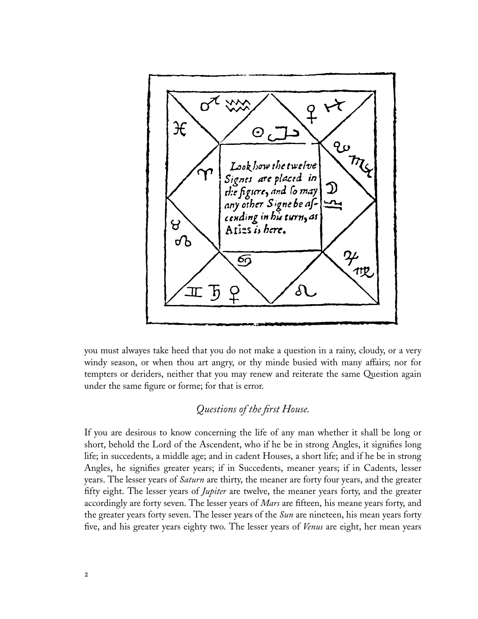

you must alwayes take heed that you do not make a question in a rainy, cloudy, or a very windy season, or when thou art angry, or thy minde busied with many affairs; nor for tempters or deriders, neither that you may renew and reiterate the same Question again under the same figure or forme; for that is error.

# *Questions of the first House.*

If you are desirous to know concerning the life of any man whether it shall be long or short, behold the Lord of the Ascendent, who if he be in strong Angles, it signifies long life; in succedents, a middle age; and in cadent Houses, a short life; and if he be in strong Angles, he signifies greater years; if in Succedents, meaner years; if in Cadents, lesser years. The lesser years of *Saturn* are thirty, the meaner are forty four years, and the greater fifty eight. The lesser years of *Jupiter* are twelve, the meaner years forty, and the greater accordingly are forty seven. The lesser years of *Mars* are fifteen, his meane years forty, and the greater years forty seven. The lesser years of the *Sun* are nineteen, his mean years forty five, and his greater years eighty two. The lesser years of *Venus* are eight, her mean years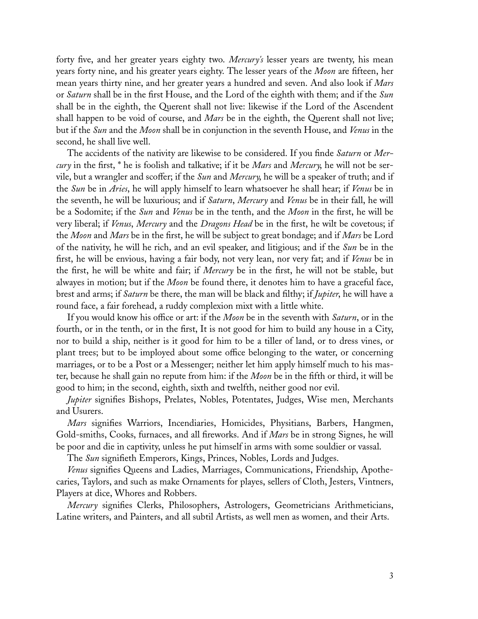forty five, and her greater years eighty two. *Mercury's* lesser years are twenty, his mean years forty nine, and his greater years eighty. The lesser years of the *Moon* are fifteen, her mean years thirty nine, and her greater years a hundred and seven. And also look if *Mars* or *Saturn* shall be in the first House, and the Lord of the eighth with them; and if the *Sun* shall be in the eighth, the Querent shall not live: likewise if the Lord of the Ascendent shall happen to be void of course, and *Mars* be in the eighth, the Querent shall not live; but if the *Sun* and the *Moon* shall be in conjunction in the seventh House, and *Venus* in the second, he shall live well.

The accidents of the nativity are likewise to be considered. If you finde *Saturn* or *Mercury* in the first, \* he is foolish and talkative; if it be *Mars* and *Mercury*, he will not be servile, but a wrangler and scoffer; if the *Sun* and *Mercury*, he will be a speaker of truth; and if the *Sun* be in *Aries*, he will apply himself to learn whatsoever he shall hear; if *Venus* be in the seventh, he will be luxurious; and if *Saturn*, *Mercury* and *Venus* be in their fall, he will be a Sodomite; if the *Sun* and *Venus* be in the tenth, and the *Moon* in the first, he will be very liberal; if *Venus*, *Mercury* and the *Dragons Head* be in the first, he wilt be covetous; if the *Moon* and *Mars* be in the first, he will be subject to great bondage; and if *Mars* be Lord of the nativity, he will he rich, and an evil speaker, and litigious; and if the *Sun* be in the first, he will be envious, having a fair body, not very lean, nor very fat; and if *Venus* be in the first, he will be white and fair; if *Mercury* be in the first, he will not be stable, but alwayes in motion; but if the *Moon* be found there, it denotes him to have a graceful face, brest and arms; if *Saturn* be there, the man will be black and filthy; if *Jupiter*, he will have a round face, a fair forehead, a ruddy complexion mixt with a little white.

If you would know his office or art: if the *Moon* be in the seventh with *Saturn*, or in the fourth, or in the tenth, or in the first, It is not good for him to build any house in a City, nor to build a ship, neither is it good for him to be a tiller of land, or to dress vines, or plant trees; but to be imployed about some office belonging to the water, or concerning marriages, or to be a Post or a Messenger; neither let him apply himself much to his master, because he shall gain no repute from him: if the *Moon* be in the fifth or third, it will be good to him; in the second, eighth, sixth and twelfth, neither good nor evil.

*Jupiter* signifies Bishops, Prelates, Nobles, Potentates, Judges, Wise men, Merchants and Usurers.

*Mars* signifies Warriors, Incendiaries, Homicides, Physitians, Barbers, Hangmen, Gold-smiths, Cooks, furnaces, and all fireworks. And if *Mars* be in strong Signes, he will be poor and die in captivity, unless he put himself in arms with some souldier or vassal.

The *Sun* signifieth Emperors, Kings, Princes, Nobles, Lords and Judges.

*Venus* signifies Queens and Ladies, Marriages, Communications, Friendship, Apothecaries, Taylors, and such as make Ornaments for playes, sellers of Cloth, Jesters, Vintners, Players at dice, Whores and Robbers.

*Mercury* signifies Clerks, Philosophers, Astrologers, Geometricians Arithmeticians, Latine writers, and Painters, and all subtil Artists, as well men as women, and their Arts.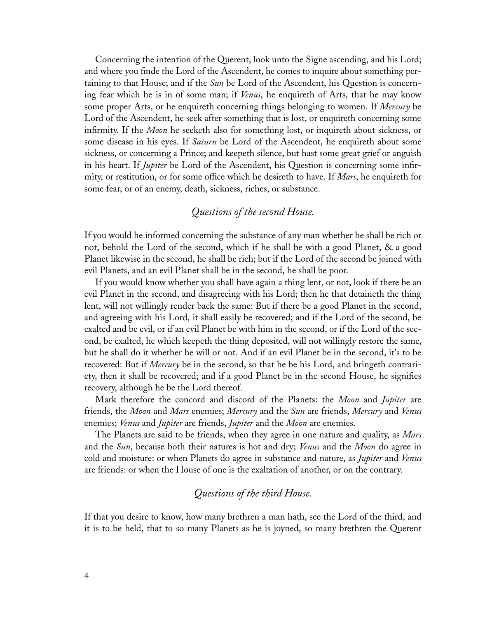Concerning the intention of the Querent, look unto the Signe ascending, and his Lord; and where you finde the Lord of the Ascendent, he comes to inquire about something pertaining to that House; and if the *Sun* be Lord of the Ascendent, his Question is concerning fear which he is in of some man; if *Venus*, he enquireth of Arts, that he may know some proper Arts, or he enquireth concerning things belonging to women. If *Mercury* be Lord of the Ascendent, he seek after something that is lost, or enquireth concerning some infirmity. If the *Moon* he seeketh also for something lost, or inquireth about sickness, or some disease in his eyes. If *Saturn* be Lord of the Ascendent, he enquireth about some sickness, or concerning a Prince; and keepeth silence, but hast some great grief or anguish in his heart. If *Jupiter* be Lord of the Ascendent, his Question is concerning some infirmity, or restitution, or for some office which he desireth to have. If *Mars*, he enquireth for some fear, or of an enemy, death, sickness, riches, or substance.

### *Questions of the second House.*

If you would he informed concerning the substance of any man whether he shall be rich or not, behold the Lord of the second, which if he shall be with a good Planet, & a good Planet likewise in the second, he shall be rich; but if the Lord of the second be joined with evil Planets, and an evil Planet shall be in the second, he shall be poor.

If you would know whether you shall have again a thing lent, or not, look if there be an evil Planet in the second, and disagreeing with his Lord; then he that detaineth the thing lent, will not willingly render back the same: But if there be a good Planet in the second, and agreeing with his Lord, it shall easily be recovered; and if the Lord of the second, be exalted and be evil, or if an evil Planet be with him in the second, or if the Lord of the second, be exalted, he which keepeth the thing deposited, will not willingly restore the same, but he shall do it whether he will or not. And if an evil Planet be in the second, it's to be recovered: But if *Mercury* be in the second, so that he be his Lord, and bringeth contrariety, then it shall be recovered; and if a good Planet be in the second House, he signifies recovery, although he be the Lord thereof.

Mark therefore the concord and discord of the Planets: the *Moon* and *Jupiter* are friends, the *Moon* and *Mars* enemies; *Mercury* and the *Sun* are friends, *Mercury* and *Venus* enemies; *Venus* and *Jupiter* are friends, *Jupiter* and the *Moon* are enemies.

The Planets are said to be friends, when they agree in one nature and quality, as *Mars* and the *Sun*, because both their natures is hot and dry; *Venus* and the *Moon* do agree in cold and moisture: or when Planets do agree in substance and nature, as *Jupiter* and *Venus* are friends: or when the House of one is the exaltation of another, or on the contrary.

# *Questions of the third House.*

If that you desire to know, how many brethren a man hath, see the Lord of the third, and it is to be held, that to so many Planets as he is joyned, so many brethren the Querent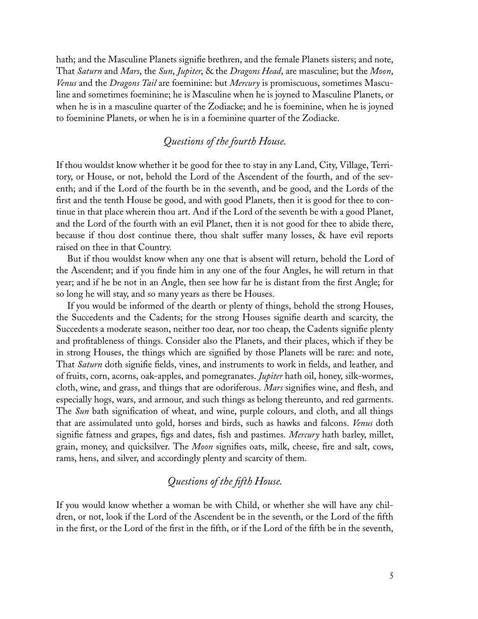hath; and the Masculine Planets signifie brethren, and the female Planets sisters; and note, That *Saturn* and *Mars*, the *Sun*, *Jupiter*, & the *Dragons Head*, are masculine; but the *Moon*, *Venus* and the *Dragons Tail* are foeminine: but *Mercury* is promiscuous, sometimes Masculine and sometimes foeminine; he is Masculine when he is joyned to Masculine Planets, or when he is in a masculine quarter of the Zodiacke; and he is foeminine, when he is joyned to foeminine Planets, or when he is in a foeminine quarter of the Zodiacke.

### *Questions of the fourth House.*

If thou wouldst know whether it be good for thee to stay in any Land, City, Village, Territory, or House, or not, behold the Lord of the Ascendent of the fourth, and of the seventh; and if the Lord of the fourth be in the seventh, and be good, and the Lords of the first and the tenth House be good, and with good Planets, then it is good for thee to continue in that place wherein thou art. And if the Lord of the seventh be with a good Planet, and the Lord of the fourth with an evil Planet, then it is not good for thee to abide there, because if thou dost continue there, thou shalt suffer many losses, & have evil reports raised on thee in that Country.

But if thou wouldst know when any one that is absent will return, behold the Lord of the Ascendent; and if you finde him in any one of the four Angles, he will return in that year; and if he be not in an Angle, then see how far he is distant from the first Angle; for so long he will stay, and so many years as there be Houses.

If you would be informed of the dearth or plenty of things, behold the strong Houses, the Succedents and the Cadents; for the strong Houses signifie dearth and scarcity, the Succedents a moderate season, neither too dear, nor too cheap, the Cadents signifie plenty and profitableness of things. Consider also the Planets, and their places, which if they be in strong Houses, the things which are signified by those Planets will be rare: and note, That *Saturn* doth signifie fields, vines, and instruments to work in fields, and leather, and of fruits, corn, acorns, oak-apples, and pomegranates. *Jupiter* hath oil, honey, silk-wormes, cloth, wine, and grass, and things that are odoriferous. *Mars* signifies wine, and flesh, and especially hogs, wars, and armour, and such things as belong thereunto, and red garments. The *Sun* bath signification of wheat, and wine, purple colours, and cloth, and all things that are assimulated unto gold, horses and birds, such as hawks and falcons. *Venus* doth signifie fatness and grapes, figs and dates, fish and pastimes. *Mercury* hath barley, millet, grain, money, and quicksilver. The *Moon* signifies oats, milk, cheese, fire and salt, cows, rams, hens, and silver, and accordingly plenty and scarcity of them.

# *Questions of the fifth House.*

If you would know whether a woman be with Child, or whether she will have any children, or not, look if the Lord of the Ascendent be in the seventh, or the Lord of the fifth in the first, or the Lord of the first in the fifth, or if the Lord of the fifth be in the seventh,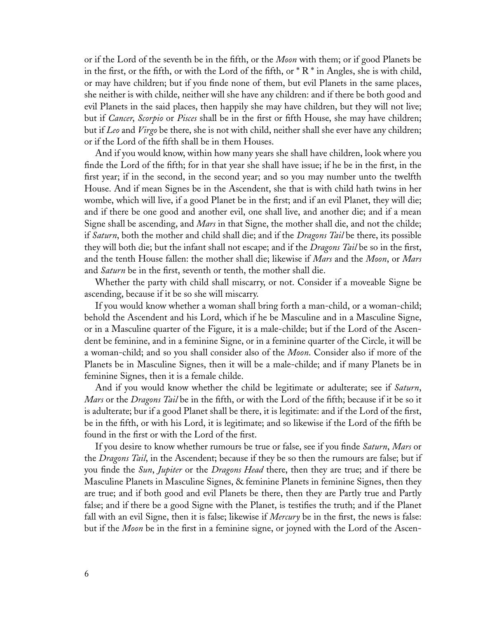or if the Lord of the seventh be in the fifth, or the *Moon* with them; or if good Planets be in the first, or the fifth, or with the Lord of the fifth, or  $*$  R $*$  in Angles, she is with child, or may have children; but if you finde none of them, but evil Planets in the same places, she neither is with childe, neither will she have any children: and if there be both good and evil Planets in the said places, then happily she may have children, but they will not live; but if *Cancer*, *Scorpio* or *Pisces* shall be in the first or fifth House, she may have children; but if *Leo* and *Virgo* be there, she is not with child, neither shall she ever have any children; or if the Lord of the fifth shall be in them Houses.

And if you would know, within how many years she shall have children, look where you finde the Lord of the fifth; for in that year she shall have issue; if he be in the first, in the first year; if in the second, in the second year; and so you may number unto the twelfth House. And if mean Signes be in the Ascendent, she that is with child hath twins in her wombe, which will live, if a good Planet be in the first; and if an evil Planet, they will die; and if there be one good and another evil, one shall live, and another die; and if a mean Signe shall be ascending, and *Mars* in that Signe, the mother shall die, and not the childe; if *Saturn*, both the mother and child shall die; and if the *Dragons Tail* be there, its possible they will both die; but the infant shall not escape; and if the *Dragons Tail* be so in the first, and the tenth House fallen: the mother shall die; likewise if *Mars* and the *Moon*, or *Mars* and *Saturn* be in the first, seventh or tenth, the mother shall die.

Whether the party with child shall miscarry, or not. Consider if a moveable Signe be ascending, because if it be so she will miscarry.

If you would know whether a woman shall bring forth a man-child, or a woman-child; behold the Ascendent and his Lord, which if he be Masculine and in a Masculine Signe, or in a Masculine quarter of the Figure, it is a male-childe; but if the Lord of the Ascendent be feminine, and in a feminine Signe, or in a feminine quarter of the Circle, it will be a woman-child; and so you shall consider also of the *Moon*. Consider also if more of the Planets be in Masculine Signes, then it will be a male-childe; and if many Planets be in feminine Signes, then it is a female childe.

And if you would know whether the child be legitimate or adulterate; see if *Saturn*, *Mars* or the *Dragons Tail* be in the fifth, or with the Lord of the fifth; because if it be so it is adulterate; bur if a good Planet shall be there, it is legitimate: and if the Lord of the first, be in the fifth, or with his Lord, it is legitimate; and so likewise if the Lord of the fifth be found in the first or with the Lord of the first.

If you desire to know whether rumours be true or false, see if you finde *Saturn*, *Mars* or the *Dragons Tail*, in the Ascendent; because if they be so then the rumours are false; but if you finde the *Sun*, *Jupiter* or the *Dragons Head* there, then they are true; and if there be Masculine Planets in Masculine Signes, & feminine Planets in feminine Signes, then they are true; and if both good and evil Planets be there, then they are Partly true and Partly false; and if there be a good Signe with the Planet, is testifies the truth; and if the Planet fall with an evil Signe, then it is false; likewise if *Mercury* be in the first, the news is false: but if the *Moon* be in the first in a feminine signe, or joyned with the Lord of the Ascen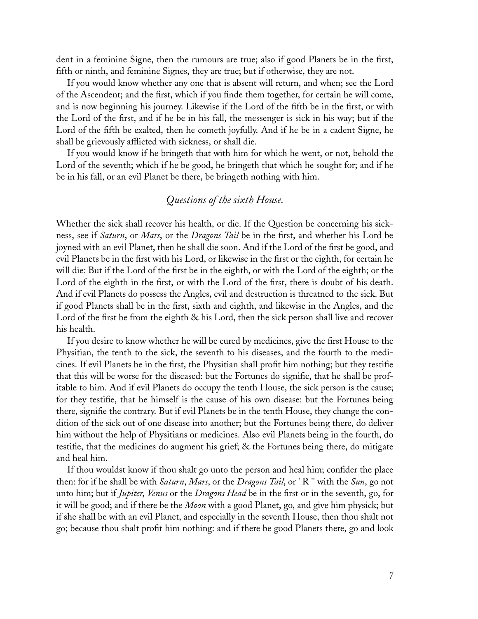dent in a feminine Signe, then the rumours are true; also if good Planets be in the first, fifth or ninth, and feminine Signes, they are true; but if otherwise, they are not.

If you would know whether any one that is absent will return, and when; see the Lord of the Ascendent; and the first, which if you finde them together, for certain he will come, and is now beginning his journey. Likewise if the Lord of the fifth be in the first, or with the Lord of the first, and if he be in his fall, the messenger is sick in his way; but if the Lord of the fifth be exalted, then he cometh joyfully. And if he be in a cadent Signe, he shall be grievously afflicted with sickness, or shall die.

If you would know if he bringeth that with him for which he went, or not, behold the Lord of the seventh; which if he be good, he bringeth that which he sought for; and if he be in his fall, or an evil Planet be there, be bringeth nothing with him.

# *Questions of the sixth House.*

Whether the sick shall recover his health, or die. If the Question be concerning his sickness, see if *Saturn*, or *Mars*, or the *Dragons Tail* be in the first, and whether his Lord be joyned with an evil Planet, then he shall die soon. And if the Lord of the first be good, and evil Planets be in the first with his Lord, or likewise in the first or the eighth, for certain he will die: But if the Lord of the first be in the eighth, or with the Lord of the eighth; or the Lord of the eighth in the first, or with the Lord of the first, there is doubt of his death. And if evil Planets do possess the Angles, evil and destruction is threatned to the sick. But if good Planets shall be in the first, sixth and eighth, and likewise in the Angles, and the Lord of the first be from the eighth & his Lord, then the sick person shall live and recover his health.

If you desire to know whether he will be cured by medicines, give the first House to the Physitian, the tenth to the sick, the seventh to his diseases, and the fourth to the medicines. If evil Planets be in the first, the Physitian shall profit him nothing; but they testifie that this will be worse for the diseased: but the Fortunes do signifie, that he shall be profitable to him. And if evil Planets do occupy the tenth House, the sick person is the cause; for they testifie, that he himself is the cause of his own disease: but the Fortunes being there, signifie the contrary. But if evil Planets be in the tenth House, they change the condition of the sick out of one disease into another; but the Fortunes being there, do deliver him without the help of Physitians or medicines. Also evil Planets being in the fourth, do testifie, that the medicines do augment his grief; & the Fortunes being there, do mitigate and heal him.

If thou wouldst know if thou shalt go unto the person and heal him; confider the place then: for if he shall be with *Saturn*, *Mars*, or the *Dragons Tail*, or ' R '' with the *Sun*, go not unto him; but if *Jupiter*, *Venus* or the *Dragons Head* be in the first or in the seventh, go, for it will be good; and if there be the *Moon* with a good Planet, go, and give him physick; but if she shall be with an evil Planet, and especially in the seventh House, then thou shalt not go; because thou shalt profit him nothing: and if there be good Planets there, go and look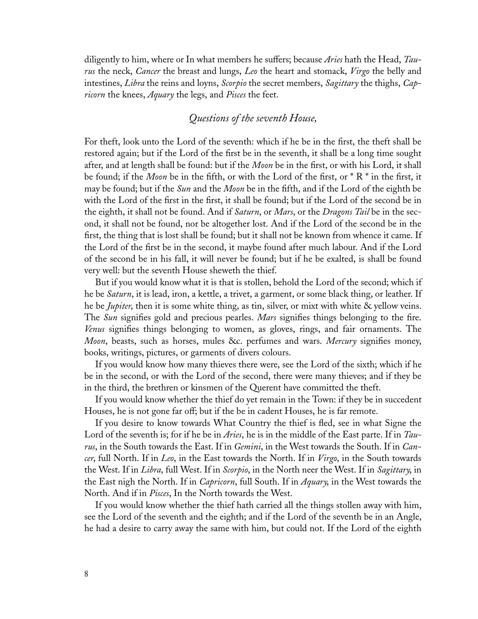diligently to him, where or In what members he suffers; because *Aries* hath the Head, *Taurus* the neck, *Cancer* the breast and lungs, *Leo* the heart and stomack, *Virgo* the belly and intestines, *Libra* the reins and loyns, *Scorpio* the secret members, *Sagittary* the thighs, *Capricorn* the knees, *Aquary* the legs, and *Pisces* the feet.

#### *Questions of the seventh House,*

For theft, look unto the Lord of the seventh: which if he be in the first, the theft shall be restored again; but if the Lord of the first be in the seventh, it shall be a long time sought after, and at length shall be found: but if the *Moon* be in the first, or with his Lord, it shall be found; if the *Moon* be in the fifth, or with the Lord of the first, or \* R \* in the first, it may be found; but if the *Sun* and the *Moon* be in the fifth, and if the Lord of the eighth be with the Lord of the first in the first, it shall be found; but if the Lord of the second be in the eighth, it shall not be found. And if *Saturn*, or *Mars*, or the *Dragons Tail* be in the second, it shall not be found, nor be altogether lost. And if the Lord of the second be in the first, the thing that is lost shall be found; but it shall not be known from whence it came. If the Lord of the first be in the second, it maybe found after much labour. And if the Lord of the second be in his fall, it will never be found; but if he be exalted, is shall be found very well: but the seventh House sheweth the thief.

But if you would know what it is that is stollen, behold the Lord of the second; which if he be *Saturn*, it is lead, iron, a kettle, a trivet, a garment, or some black thing, or leather. If he be *Jupiter*, then it is some white thing, as tin, silver, or mixt with white & yellow veins. The *Sun* signifies gold and precious pearles. *Mars* signifies things belonging to the fire. *Venus* signifies things belonging to women, as gloves, rings, and fair ornaments. The *Moon*, beasts, such as horses, mules &c. perfumes and wars. *Mercury* signifies money, books, writings, pictures, or garments of divers colours.

If you would know how many thieves there were, see the Lord of the sixth; which if he be in the second, or with the Lord of the second, there were many thieves; and if they be in the third, the brethren or kinsmen of the Querent have committed the theft.

If you would know whether the thief do yet remain in the Town: if they be in succedent Houses, he is not gone far off; but if the be in cadent Houses, he is far remote.

If you desire to know towards What Country the thief is fled, see in what Signe the Lord of the seventh is; for if he be in *Aries*, he is in the middle of the East parte. If in *Taurus*, in the South towards the East. If in *Gemini*, in the West towards the South. If in *Cancer*, full North. If in *Leo*, in the East towards the North. If in *Virgo*, in the South towards the West. If in *Libra*, full West. If in *Scorpio*, in the North neer the West. If in *Sagittary*, in the East nigh the North. If in *Capricorn*, full South. If in *Aquary*, in the West towards the North. And if in *Pisces*, In the North towards the West.

If you would know whether the thief hath carried all the things stollen away with him, see the Lord of the seventh and the eighth; and if the Lord of the seventh be in an Angle, he had a desire to carry away the same with him, but could not. If the Lord of the eighth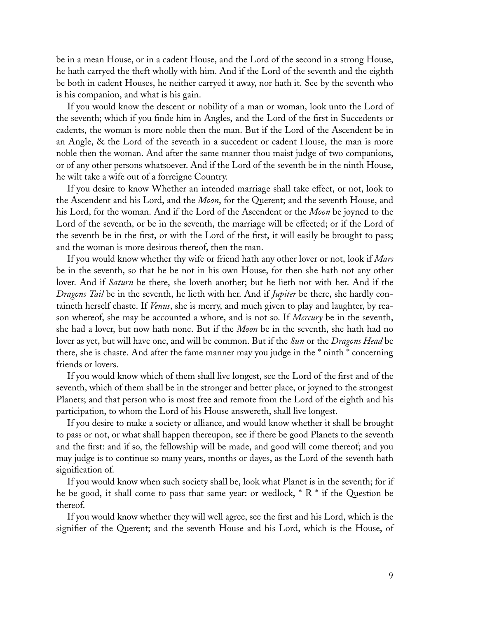be in a mean House, or in a cadent House, and the Lord of the second in a strong House, he hath carryed the theft wholly with him. And if the Lord of the seventh and the eighth be both in cadent Houses, he neither carryed it away, nor hath it. See by the seventh who is his companion, and what is his gain.

If you would know the descent or nobility of a man or woman, look unto the Lord of the seventh; which if you finde him in Angles, and the Lord of the first in Succedents or cadents, the woman is more noble then the man. But if the Lord of the Ascendent be in an Angle, & the Lord of the seventh in a succedent or cadent House, the man is more noble then the woman. And after the same manner thou maist judge of two companions, or of any other persons whatsoever. And if the Lord of the seventh be in the ninth House, he wilt take a wife out of a forreigne Country.

If you desire to know Whether an intended marriage shall take effect, or not, look to the Ascendent and his Lord, and the *Moon*, for the Querent; and the seventh House, and his Lord, for the woman. And if the Lord of the Ascendent or the *Moon* be joyned to the Lord of the seventh, or be in the seventh, the marriage will be effected; or if the Lord of the seventh be in the first, or with the Lord of the first, it will easily be brought to pass; and the woman is more desirous thereof, then the man.

If you would know whether thy wife or friend hath any other lover or not, look if *Mars* be in the seventh, so that he be not in his own House, for then she hath not any other lover. And if *Saturn* be there, she loveth another; but he lieth not with her. And if the *Dragons Tail* be in the seventh, he lieth with her. And if *Jupiter* be there, she hardly containeth herself chaste. If *Venus*, she is merry, and much given to play and laughter, by reason whereof, she may be accounted a whore, and is not so. If *Mercury* be in the seventh, she had a lover, but now hath none. But if the *Moon* be in the seventh, she hath had no lover as yet, but will have one, and will be common. But if the *Sun* or the *Dragons Head* be there, she is chaste. And after the fame manner may you judge in the \* ninth \* concerning friends or lovers.

If you would know which of them shall live longest, see the Lord of the first and of the seventh, which of them shall be in the stronger and better place, or joyned to the strongest Planets; and that person who is most free and remote from the Lord of the eighth and his participation, to whom the Lord of his House answereth, shall live longest.

If you desire to make a society or alliance, and would know whether it shall be brought to pass or not, or what shall happen thereupon, see if there be good Planets to the seventh and the first: and if so, the fellowship will be made, and good will come thereof; and you may judge is to continue so many years, months or dayes, as the Lord of the seventh hath signification of.

If you would know when such society shall be, look what Planet is in the seventh; for if he be good, it shall come to pass that same year: or wedlock, \* R \* if the Question be thereof.

If you would know whether they will well agree, see the first and his Lord, which is the signifier of the Querent; and the seventh House and his Lord, which is the House, of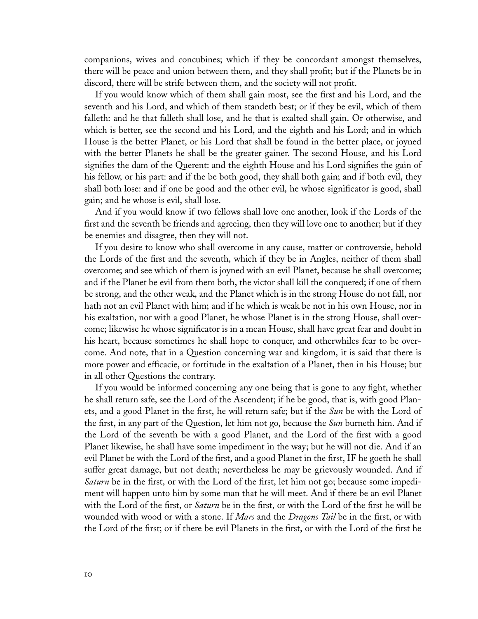companions, wives and concubines; which if they be concordant amongst themselves, there will be peace and union between them, and they shall profit; but if the Planets be in discord, there will be strife between them, and the society will not profit.

If you would know which of them shall gain most, see the first and his Lord, and the seventh and his Lord, and which of them standeth best; or if they be evil, which of them falleth: and he that falleth shall lose, and he that is exalted shall gain. Or otherwise, and which is better, see the second and his Lord, and the eighth and his Lord; and in which House is the better Planet, or his Lord that shall be found in the better place, or joyned with the better Planets he shall be the greater gainer. The second House, and his Lord signifies the dam of the Querent: and the eighth House and his Lord signifies the gain of his fellow, or his part: and if the be both good, they shall both gain; and if both evil, they shall both lose: and if one be good and the other evil, he whose significator is good, shall gain; and he whose is evil, shall lose.

And if you would know if two fellows shall love one another, look if the Lords of the first and the seventh be friends and agreeing, then they will love one to another; but if they be enemies and disagree, then they will not.

If you desire to know who shall overcome in any cause, matter or controversie, behold the Lords of the first and the seventh, which if they be in Angles, neither of them shall overcome; and see which of them is joyned with an evil Planet, because he shall overcome; and if the Planet be evil from them both, the victor shall kill the conquered; if one of them be strong, and the other weak, and the Planet which is in the strong House do not fall, nor hath not an evil Planet with him; and if he which is weak be not in his own House, nor in his exaltation, nor with a good Planet, he whose Planet is in the strong House, shall overcome; likewise he whose significator is in a mean House, shall have great fear and doubt in his heart, because sometimes he shall hope to conquer, and otherwhiles fear to be overcome. And note, that in a Question concerning war and kingdom, it is said that there is more power and efficacie, or fortitude in the exaltation of a Planet, then in his House; but in all other Questions the contrary.

If you would be informed concerning any one being that is gone to any fight, whether he shall return safe, see the Lord of the Ascendent; if he be good, that is, with good Planets, and a good Planet in the first, he will return safe; but if the *Sun* be with the Lord of the first, in any part of the Question, let him not go, because the *Sun* burneth him. And if the Lord of the seventh be with a good Planet, and the Lord of the first with a good Planet likewise, he shall have some impediment in the way; but he will not die. And if an evil Planet be with the Lord of the first, and a good Planet in the first, IF he goeth he shall suffer great damage, but not death; nevertheless he may be grievously wounded. And if *Saturn* be in the first, or with the Lord of the first, let him not go; because some impediment will happen unto him by some man that he will meet. And if there be an evil Planet with the Lord of the first, or *Saturn* be in the first, or with the Lord of the first he will be wounded with wood or with a stone. If *Mars* and the *Dragons Tail* be in the first, or with the Lord of the first; or if there be evil Planets in the first, or with the Lord of the first he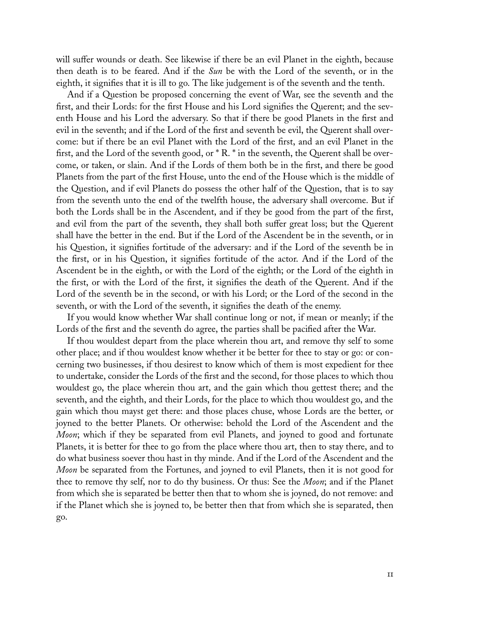will suffer wounds or death. See likewise if there be an evil Planet in the eighth, because then death is to be feared. And if the *Sun* be with the Lord of the seventh, or in the eighth, it signifies that it is ill to go. The like judgement is of the seventh and the tenth.

And if a Question be proposed concerning the event of War, see the seventh and the first, and their Lords: for the first House and his Lord signifies the Querent; and the seventh House and his Lord the adversary. So that if there be good Planets in the first and evil in the seventh; and if the Lord of the first and seventh be evil, the Querent shall overcome: but if there be an evil Planet with the Lord of the first, and an evil Planet in the first, and the Lord of the seventh good, or \* R. \* in the seventh, the Querent shall be overcome, or taken, or slain. And if the Lords of them both be in the first, and there be good Planets from the part of the first House, unto the end of the House which is the middle of the Question, and if evil Planets do possess the other half of the Question, that is to say from the seventh unto the end of the twelfth house, the adversary shall overcome. But if both the Lords shall be in the Ascendent, and if they be good from the part of the first, and evil from the part of the seventh, they shall both suffer great loss; but the Querent shall have the better in the end. But if the Lord of the Ascendent be in the seventh, or in his Question, it signifies fortitude of the adversary: and if the Lord of the seventh be in the first, or in his Question, it signifies fortitude of the actor. And if the Lord of the Ascendent be in the eighth, or with the Lord of the eighth; or the Lord of the eighth in the first, or with the Lord of the first, it signifies the death of the Querent. And if the Lord of the seventh be in the second, or with his Lord; or the Lord of the second in the seventh, or with the Lord of the seventh, it signifies the death of the enemy.

If you would know whether War shall continue long or not, if mean or meanly; if the Lords of the first and the seventh do agree, the parties shall be pacified after the War.

If thou wouldest depart from the place wherein thou art, and remove thy self to some other place; and if thou wouldest know whether it be better for thee to stay or go: or concerning two businesses, if thou desirest to know which of them is most expedient for thee to undertake, consider the Lords of the first and the second, for those places to which thou wouldest go, the place wherein thou art, and the gain which thou gettest there; and the seventh, and the eighth, and their Lords, for the place to which thou wouldest go, and the gain which thou mayst get there: and those places chuse, whose Lords are the better, or joyned to the better Planets. Or otherwise: behold the Lord of the Ascendent and the *Moon*; which if they be separated from evil Planets, and joyned to good and fortunate Planets, it is better for thee to go from the place where thou art, then to stay there, and to do what business soever thou hast in thy minde. And if the Lord of the Ascendent and the *Moon* be separated from the Fortunes, and joyned to evil Planets, then it is not good for thee to remove thy self, nor to do thy business. Or thus: See the *Moon*; and if the Planet from which she is separated be better then that to whom she is joyned, do not remove: and if the Planet which she is joyned to, be better then that from which she is separated, then go.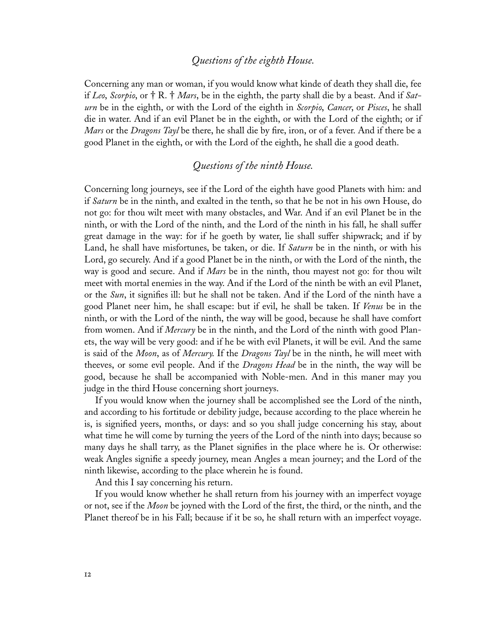#### *Questions of the eighth House.*

Concerning any man or woman, if you would know what kinde of death they shall die, fee if *Leo*, *Scorpio*, or † R. † *Mars*, be in the eighth, the party shall die by a beast. And if *Saturn* be in the eighth, or with the Lord of the eighth in *Scorpio*, *Cancer*, or *Pisces*, he shall die in water. And if an evil Planet be in the eighth, or with the Lord of the eighth; or if *Mars* or the *Dragons Tayl* be there, he shall die by fire, iron, or of a fever. And if there be a good Planet in the eighth, or with the Lord of the eighth, he shall die a good death.

# *Questions of the ninth House.*

Concerning long journeys, see if the Lord of the eighth have good Planets with him: and if *Saturn* be in the ninth, and exalted in the tenth, so that he be not in his own House, do not go: for thou wilt meet with many obstacles, and War. And if an evil Planet be in the ninth, or with the Lord of the ninth, and the Lord of the ninth in his fall, he shall suffer great damage in the way: for if he goeth by water, lie shall suffer shipwrack; and if by Land, he shall have misfortunes, be taken, or die. If *Saturn* be in the ninth, or with his Lord, go securely. And if a good Planet be in the ninth, or with the Lord of the ninth, the way is good and secure. And if *Mars* be in the ninth, thou mayest not go: for thou wilt meet with mortal enemies in the way. And if the Lord of the ninth be with an evil Planet, or the *Sun*, it signifies ill: but he shall not be taken. And if the Lord of the ninth have a good Planet neer him, he shall escape: but if evil, he shall be taken. If *Venus* be in the ninth, or with the Lord of the ninth, the way will be good, because he shall have comfort from women. And if *Mercury* be in the ninth, and the Lord of the ninth with good Planets, the way will be very good: and if he be with evil Planets, it will be evil. And the same is said of the *Moon*, as of *Mercury*. If the *Dragons Tayl* be in the ninth, he will meet with theeves, or some evil people. And if the *Dragons Head* be in the ninth, the way will be good, because he shall be accompanied with Noble-men. And in this maner may you judge in the third House concerning short journeys.

If you would know when the journey shall be accomplished see the Lord of the ninth, and according to his fortitude or debility judge, because according to the place wherein he is, is signified yeers, months, or days: and so you shall judge concerning his stay, about what time he will come by turning the yeers of the Lord of the ninth into days; because so many days he shall tarry, as the Planet signifies in the place where he is. Or otherwise: weak Angles signifie a speedy journey, mean Angles a mean journey; and the Lord of the ninth likewise, according to the place wherein he is found.

And this I say concerning his return.

If you would know whether he shall return from his journey with an imperfect voyage or not, see if the *Moon* be joyned with the Lord of the first, the third, or the ninth, and the Planet thereof be in his Fall; because if it be so, he shall return with an imperfect voyage.